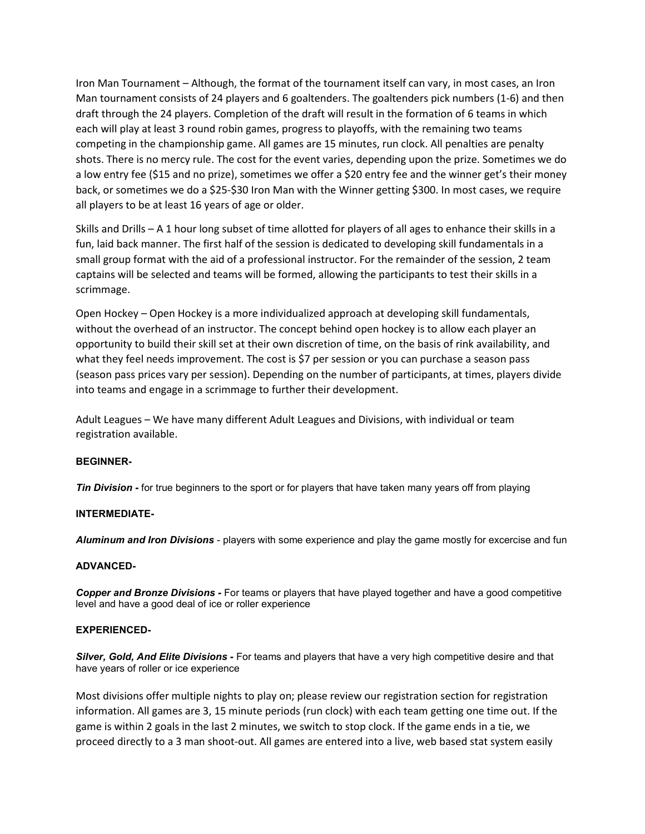Iron Man Tournament – Although, the format of the tournament itself can vary, in most cases, an Iron Man tournament consists of 24 players and 6 goaltenders. The goaltenders pick numbers (1-6) and then draft through the 24 players. Completion of the draft will result in the formation of 6 teams in which each will play at least 3 round robin games, progress to playoffs, with the remaining two teams competing in the championship game. All games are 15 minutes, run clock. All penalties are penalty shots. There is no mercy rule. The cost for the event varies, depending upon the prize. Sometimes we do a low entry fee (\$15 and no prize), sometimes we offer a \$20 entry fee and the winner get's their money back, or sometimes we do a \$25-\$30 Iron Man with the Winner getting \$300. In most cases, we require all players to be at least 16 years of age or older.

Skills and Drills – A 1 hour long subset of time allotted for players of all ages to enhance their skills in a fun, laid back manner. The first half of the session is dedicated to developing skill fundamentals in a small group format with the aid of a professional instructor. For the remainder of the session, 2 team captains will be selected and teams will be formed, allowing the participants to test their skills in a scrimmage.

Open Hockey – Open Hockey is a more individualized approach at developing skill fundamentals, without the overhead of an instructor. The concept behind open hockey is to allow each player an opportunity to build their skill set at their own discretion of time, on the basis of rink availability, and what they feel needs improvement. The cost is \$7 per session or you can purchase a season pass (season pass prices vary per session). Depending on the number of participants, at times, players divide into teams and engage in a scrimmage to further their development.

Adult Leagues – We have many different Adult Leagues and Divisions, with individual or team registration available.

## BEGINNER-

**Tin Division -** for true beginners to the sport or for players that have taken many years off from playing

## INTERMEDIATE-

Aluminum and Iron Divisions - players with some experience and play the game mostly for excercise and fun

## ADVANCED-

Copper and Bronze Divisions - For teams or players that have played together and have a good competitive level and have a good deal of ice or roller experience

## EXPERIENCED-

Silver, Gold, And Elite Divisions - For teams and players that have a very high competitive desire and that have years of roller or ice experience

Most divisions offer multiple nights to play on; please review our registration section for registration information. All games are 3, 15 minute periods (run clock) with each team getting one time out. If the game is within 2 goals in the last 2 minutes, we switch to stop clock. If the game ends in a tie, we proceed directly to a 3 man shoot-out. All games are entered into a live, web based stat system easily